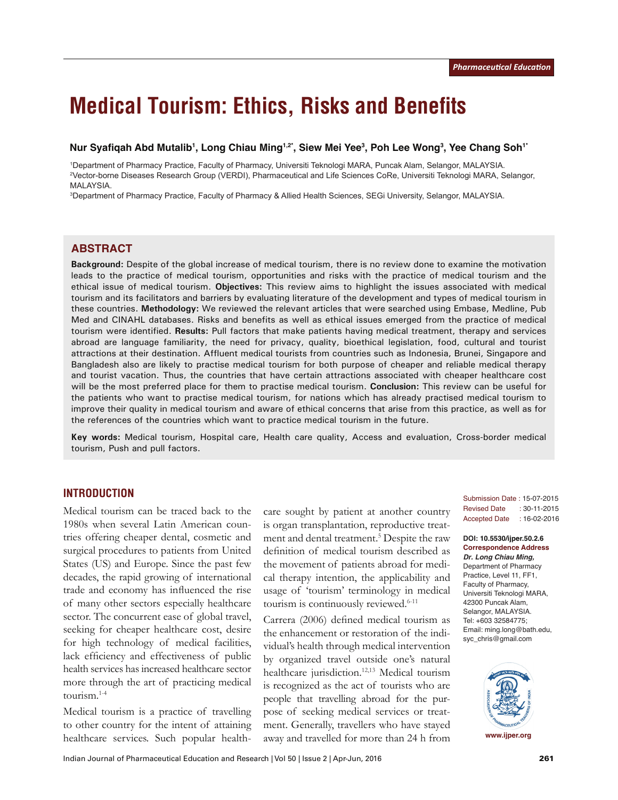# **Medical Tourism: Ethics, Risks and Benefits**

# **Nur Syafiqah Abd Mutalib1 , Long Chiau Ming1,2\*, Siew Mei Yee3 , Poh Lee Wong3 , Yee Chang Soh1\***

1 Department of Pharmacy Practice, Faculty of Pharmacy, Universiti Teknologi MARA, Puncak Alam, Selangor, MALAYSIA. 2 Vector-borne Diseases Research Group (VERDI), Pharmaceutical and Life Sciences CoRe, Universiti Teknologi MARA, Selangor, MALAYSIA.

3 Department of Pharmacy Practice, Faculty of Pharmacy & Allied Health Sciences, SEGi University, Selangor, MALAYSIA.

# **ABSTRACT**

**Background:** Despite of the global increase of medical tourism, there is no review done to examine the motivation leads to the practice of medical tourism, opportunities and risks with the practice of medical tourism and the ethical issue of medical tourism. **Objectives:** This review aims to highlight the issues associated with medical tourism and its facilitators and barriers by evaluating literature of the development and types of medical tourism in these countries. **Methodology:** We reviewed the relevant articles that were searched using Embase, Medline, Pub Med and CINAHL databases. Risks and benefits as well as ethical issues emerged from the practice of medical tourism were identified. **Results:** Pull factors that make patients having medical treatment, therapy and services abroad are language familiarity, the need for privacy, quality, bioethical legislation, food, cultural and tourist attractions at their destination. Affluent medical tourists from countries such as Indonesia, Brunei, Singapore and Bangladesh also are likely to practise medical tourism for both purpose of cheaper and reliable medical therapy and tourist vacation. Thus, the countries that have certain attractions associated with cheaper healthcare cost will be the most preferred place for them to practise medical tourism. **Conclusion:** This review can be useful for the patients who want to practise medical tourism, for nations which has already practised medical tourism to improve their quality in medical tourism and aware of ethical concerns that arise from this practice, as well as for the references of the countries which want to practice medical tourism in the future.

**Key words:** Medical tourism, Hospital care, Health care quality, Access and evaluation, Cross-border medical tourism, Push and pull factors.

#### **INTRODUCTION**

Medical tourism can be traced back to the 1980s when several Latin American countries offering cheaper dental, cosmetic and surgical procedures to patients from United States (US) and Europe. Since the past few decades, the rapid growing of international trade and economy has influenced the rise of many other sectors especially healthcare sector. The concurrent ease of global travel, seeking for cheaper healthcare cost, desire for high technology of medical facilities, lack efficiency and effectiveness of public health services has increased healthcare sector more through the art of practicing medical tourism.1-4

Medical tourism is a practice of travelling to other country for the intent of attaining healthcare services. Such popular healthcare sought by patient at another country is organ transplantation, reproductive treatment and dental treatment.<sup>5</sup> Despite the raw definition of medical tourism described as the movement of patients abroad for medical therapy intention, the applicability and usage of 'tourism' terminology in medical tourism is continuously reviewed.<sup>6-11</sup>

Carrera (2006) defined medical tourism as the enhancement or restoration of the individual's health through medical intervention by organized travel outside one's natural healthcare jurisdiction.<sup>12,13</sup> Medical tourism is recognized as the act of tourists who are people that travelling abroad for the purpose of seeking medical services or treatment. Generally, travellers who have stayed away and travelled for more than 24 h from

Submission Date : 15-07-2015 Revised Date : 30-11-2015 Accepted Date : 16-02-2016

**DOI: 10.5530/ijper.50.2.6 Correspondence Address** *Dr. Long Chiau Ming,*  Department of Pharmacy Practice, Level 11, FF1, Faculty of Pharmacy, Universiti Teknologi MARA, 42300 Puncak Alam, Selangor, MALAYSIA. Tel: +603 32584775; Email: ming.long@bath.edu, syc\_chris@gmail.com



**www.ijper.org**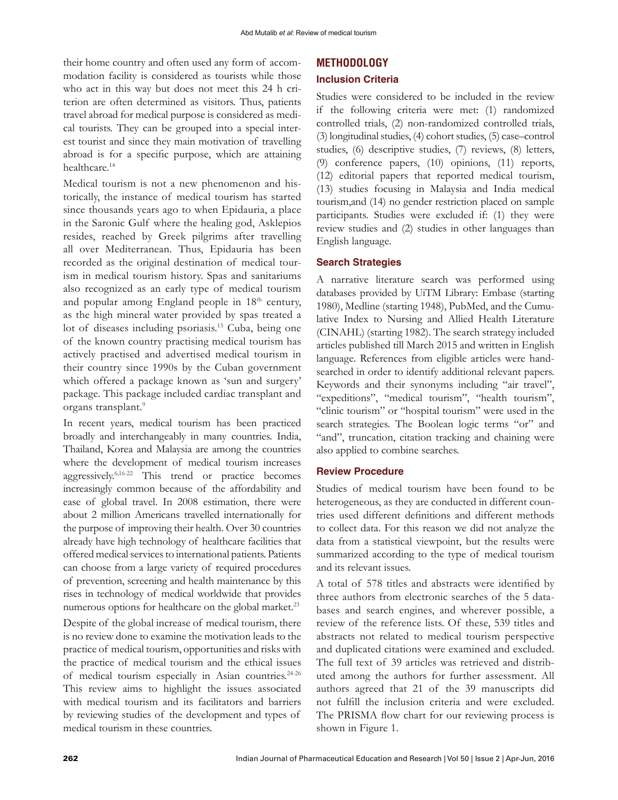their home country and often used any form of accommodation facility is considered as tourists while those who act in this way but does not meet this 24 h criterion are often determined as visitors. Thus, patients travel abroad for medical purpose is considered as medical tourists. They can be grouped into a special interest tourist and since they main motivation of travelling abroad is for a specific purpose, which are attaining healthcare.<sup>14</sup>

Medical tourism is not a new phenomenon and historically, the instance of medical tourism has started since thousands years ago to when Epidauria, a place in the Saronic Gulf where the healing god, Asklepios resides, reached by Greek pilgrims after travelling all over Mediterranean. Thus, Epidauria has been recorded as the original destination of medical tourism in medical tourism history. Spas and sanitariums also recognized as an early type of medical tourism and popular among England people in 18<sup>th</sup> century, as the high mineral water provided by spas treated a lot of diseases including psoriasis.<sup>15</sup> Cuba, being one of the known country practising medical tourism has actively practised and advertised medical tourism in their country since 1990s by the Cuban government which offered a package known as 'sun and surgery' package. This package included cardiac transplant and organs transplant.9

In recent years, medical tourism has been practiced broadly and interchangeably in many countries. India, Thailand, Korea and Malaysia are among the countries where the development of medical tourism increases aggressively.6,16-22 This trend or practice becomes increasingly common because of the affordability and ease of global travel. In 2008 estimation, there were about 2 million Americans travelled internationally for the purpose of improving their health. Over 30 countries already have high technology of healthcare facilities that offered medical services to international patients. Patients can choose from a large variety of required procedures of prevention, screening and health maintenance by this rises in technology of medical worldwide that provides numerous options for healthcare on the global market.<sup>23</sup>

Despite of the global increase of medical tourism, there is no review done to examine the motivation leads to the practice of medical tourism, opportunities and risks with the practice of medical tourism and the ethical issues of medical tourism especially in Asian countries.<sup>24-26</sup> This review aims to highlight the issues associated with medical tourism and its facilitators and barriers by reviewing studies of the development and types of medical tourism in these countries.

# **METHODOLOGY**

# **Inclusion Criteria**

Studies were considered to be included in the review if the following criteria were met: (1) randomized controlled trials, (2) non-randomized controlled trials, (3) longitudinal studies, (4) cohort studies, (5) case–control studies, (6) descriptive studies, (7) reviews, (8) letters, (9) conference papers, (10) opinions, (11) reports, (12) editorial papers that reported medical tourism, (13) studies focusing in Malaysia and India medical tourism,and (14) no gender restriction placed on sample participants. Studies were excluded if: (1) they were review studies and (2) studies in other languages than English language.

# **Search Strategies**

A narrative literature search was performed using databases provided by UiTM Library: Embase (starting 1980), Medline (starting 1948), PubMed, and the Cumulative Index to Nursing and Allied Health Literature (CINAHL) (starting 1982). The search strategy included articles published till March 2015 and written in English language. References from eligible articles were handsearched in order to identify additional relevant papers. Keywords and their synonyms including "air travel", "expeditions", "medical tourism", "health tourism", "clinic tourism" or "hospital tourism" were used in the search strategies. The Boolean logic terms "or" and "and", truncation, citation tracking and chaining were also applied to combine searches.

# **Review Procedure**

Studies of medical tourism have been found to be heterogeneous, as they are conducted in different countries used different definitions and different methods to collect data. For this reason we did not analyze the data from a statistical viewpoint, but the results were summarized according to the type of medical tourism and its relevant issues.

A total of 578 titles and abstracts were identified by three authors from electronic searches of the 5 databases and search engines, and wherever possible, a review of the reference lists. Of these, 539 titles and abstracts not related to medical tourism perspective and duplicated citations were examined and excluded. The full text of 39 articles was retrieved and distributed among the authors for further assessment. All authors agreed that 21 of the 39 manuscripts did not fulfill the inclusion criteria and were excluded. The PRISMA flow chart for our reviewing process is shown in Figure 1.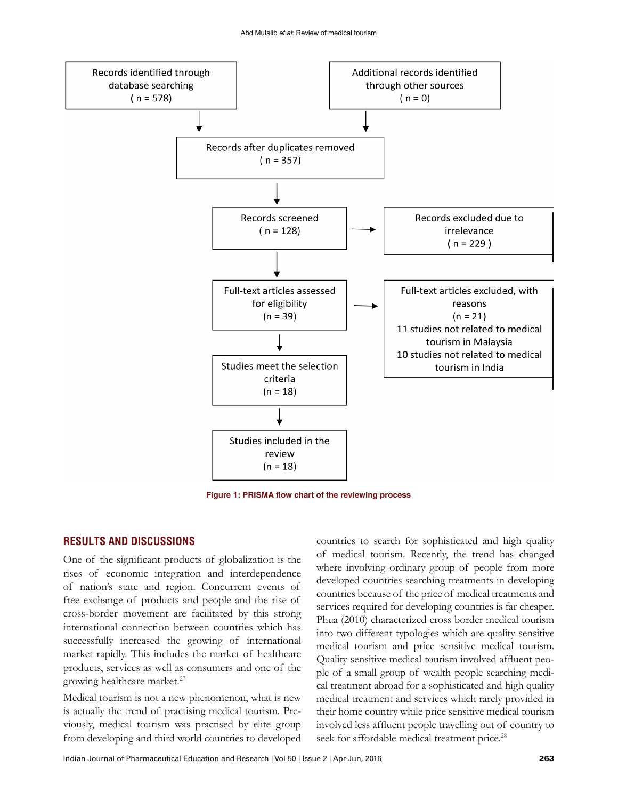

**Figure 1: PRISMA flow chart of the reviewing process**

# **RESULTS AND DISCUSSIONS**

One of the significant products of globalization is the rises of economic integration and interdependence of nation's state and region. Concurrent events of free exchange of products and people and the rise of cross-border movement are facilitated by this strong international connection between countries which has successfully increased the growing of international market rapidly. This includes the market of healthcare products, services as well as consumers and one of the growing healthcare market.<sup>27</sup>

Medical tourism is not a new phenomenon, what is new is actually the trend of practising medical tourism. Previously, medical tourism was practised by elite group from developing and third world countries to developed

countries to search for sophisticated and high quality of medical tourism. Recently, the trend has changed where involving ordinary group of people from more developed countries searching treatments in developing countries because of the price of medical treatments and services required for developing countries is far cheaper. Phua (2010) characterized cross border medical tourism into two different typologies which are quality sensitive medical tourism and price sensitive medical tourism. Quality sensitive medical tourism involved affluent people of a small group of wealth people searching medical treatment abroad for a sophisticated and high quality medical treatment and services which rarely provided in their home country while price sensitive medical tourism involved less affluent people travelling out of country to seek for affordable medical treatment price.<sup>28</sup>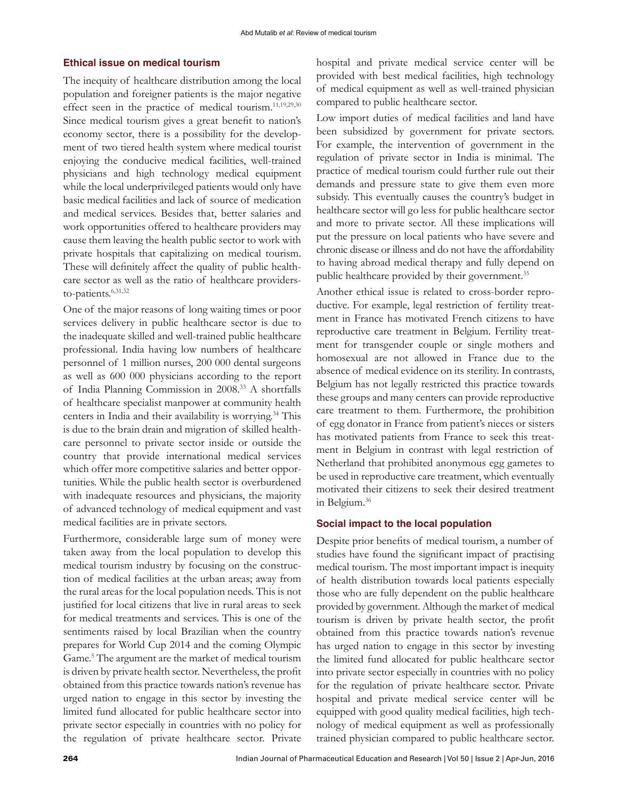### **Ethical issue on medical tourism**

The inequity of healthcare distribution among the local population and foreigner patients is the major negative effect seen in the practice of medical tourism.<sup>11,19,29,30</sup> Since medical tourism gives a great benefit to nation's economy sector, there is a possibility for the development of two tiered health system where medical tourist enjoying the conducive medical facilities, well-trained physicians and high technology medical equipment while the local underprivileged patients would only have basic medical facilities and lack of source of medication and medical services. Besides that, better salaries and work opportunities offered to healthcare providers may cause them leaving the health public sector to work with private hospitals that capitalizing on medical tourism. These will definitely affect the quality of public healthcare sector as well as the ratio of healthcare providersto-patients.<sup>6,31,32</sup>

One of the major reasons of long waiting times or poor services delivery in public healthcare sector is due to the inadequate skilled and well-trained public healthcare professional. India having low numbers of healthcare personnel of 1 million nurses, 200 000 dental surgeons as well as 600 000 physicians according to the report of India Planning Commission in 2008.33 A shortfalls of healthcare specialist manpower at community health centers in India and their availability is worrying.<sup>34</sup> This is due to the brain drain and migration of skilled healthcare personnel to private sector inside or outside the country that provide international medical services which offer more competitive salaries and better opportunities. While the public health sector is overburdened with inadequate resources and physicians, the majority of advanced technology of medical equipment and vast medical facilities are in private sectors.

Furthermore, considerable large sum of money were taken away from the local population to develop this medical tourism industry by focusing on the construction of medical facilities at the urban areas; away from the rural areas for the local population needs. This is not justified for local citizens that live in rural areas to seek for medical treatments and services. This is one of the sentiments raised by local Brazilian when the country prepares for World Cup 2014 and the coming Olympic Game.<sup>5</sup> The argument are the market of medical tourism is driven by private health sector. Nevertheless, the profit obtained from this practice towards nation's revenue has urged nation to engage in this sector by investing the limited fund allocated for public healthcare sector into private sector especially in countries with no policy for the regulation of private healthcare sector. Private

hospital and private medical service center will be provided with best medical facilities, high technology of medical equipment as well as well-trained physician compared to public healthcare sector.

Low import duties of medical facilities and land have been subsidized by government for private sectors. For example, the intervention of government in the regulation of private sector in India is minimal. The practice of medical tourism could further rule out their demands and pressure state to give them even more subsidy. This eventually causes the country's budget in healthcare sector will go less for public healthcare sector and more to private sector. All these implications will put the pressure on local patients who have severe and chronic disease or illness and do not have the affordability to having abroad medical therapy and fully depend on public healthcare provided by their government.<sup>35</sup>

Another ethical issue is related to cross-border reproductive. For example, legal restriction of fertility treatment in France has motivated French citizens to have reproductive care treatment in Belgium. Fertility treatment for transgender couple or single mothers and homosexual are not allowed in France due to the absence of medical evidence on its sterility. In contrasts, Belgium has not legally restricted this practice towards these groups and many centers can provide reproductive care treatment to them. Furthermore, the prohibition of egg donator in France from patient's nieces or sisters has motivated patients from France to seek this treatment in Belgium in contrast with legal restriction of Netherland that prohibited anonymous egg gametes to be used in reproductive care treatment, which eventually motivated their citizens to seek their desired treatment in Belgium.36

#### **Social impact to the local population**

Despite prior benefits of medical tourism, a number of studies have found the significant impact of practising medical tourism. The most important impact is inequity of health distribution towards local patients especially those who are fully dependent on the public healthcare provided by government. Although the market of medical tourism is driven by private health sector, the profit obtained from this practice towards nation's revenue has urged nation to engage in this sector by investing the limited fund allocated for public healthcare sector into private sector especially in countries with no policy for the regulation of private healthcare sector. Private hospital and private medical service center will be equipped with good quality medical facilities, high technology of medical equipment as well as professionally trained physician compared to public healthcare sector.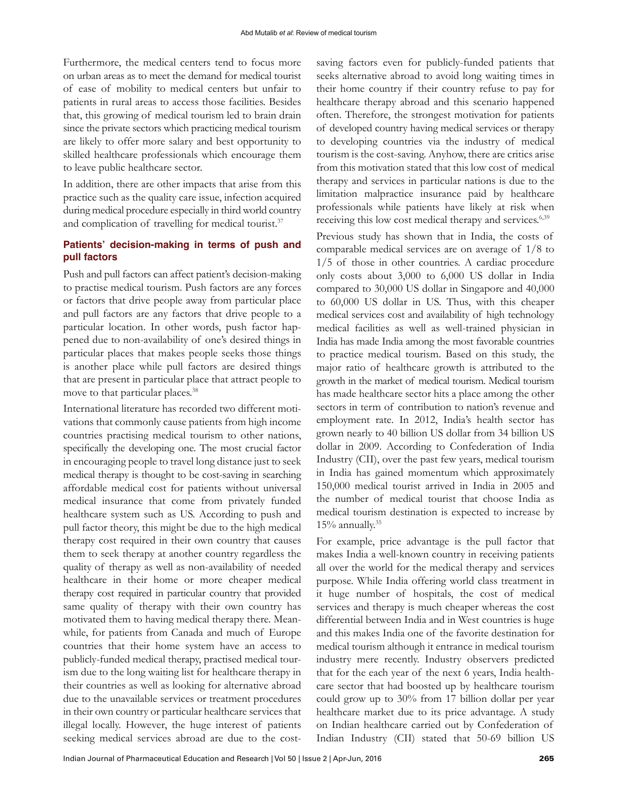Furthermore, the medical centers tend to focus more on urban areas as to meet the demand for medical tourist of ease of mobility to medical centers but unfair to patients in rural areas to access those facilities. Besides that, this growing of medical tourism led to brain drain since the private sectors which practicing medical tourism are likely to offer more salary and best opportunity to skilled healthcare professionals which encourage them to leave public healthcare sector.

In addition, there are other impacts that arise from this practice such as the quality care issue, infection acquired during medical procedure especially in third world country and complication of travelling for medical tourist.<sup>37</sup>

# **Patients' decision-making in terms of push and pull factors**

Push and pull factors can affect patient's decision-making to practise medical tourism. Push factors are any forces or factors that drive people away from particular place and pull factors are any factors that drive people to a particular location. In other words, push factor happened due to non-availability of one's desired things in particular places that makes people seeks those things is another place while pull factors are desired things that are present in particular place that attract people to move to that particular places.<sup>38</sup>

International literature has recorded two different motivations that commonly cause patients from high income countries practising medical tourism to other nations, specifically the developing one. The most crucial factor in encouraging people to travel long distance just to seek medical therapy is thought to be cost-saving in searching affordable medical cost for patients without universal medical insurance that come from privately funded healthcare system such as US. According to push and pull factor theory, this might be due to the high medical therapy cost required in their own country that causes them to seek therapy at another country regardless the quality of therapy as well as non-availability of needed healthcare in their home or more cheaper medical therapy cost required in particular country that provided same quality of therapy with their own country has motivated them to having medical therapy there. Meanwhile, for patients from Canada and much of Europe countries that their home system have an access to publicly-funded medical therapy, practised medical tourism due to the long waiting list for healthcare therapy in their countries as well as looking for alternative abroad due to the unavailable services or treatment procedures in their own country or particular healthcare services that illegal locally. However, the huge interest of patients seeking medical services abroad are due to the costsaving factors even for publicly-funded patients that seeks alternative abroad to avoid long waiting times in their home country if their country refuse to pay for healthcare therapy abroad and this scenario happened often. Therefore, the strongest motivation for patients of developed country having medical services or therapy to developing countries via the industry of medical tourism is the cost-saving. Anyhow, there are critics arise from this motivation stated that this low cost of medical therapy and services in particular nations is due to the limitation malpractice insurance paid by healthcare professionals while patients have likely at risk when receiving this low cost medical therapy and services.<sup>6,39</sup>

Previous study has shown that in India, the costs of comparable medical services are on average of 1/8 to 1/5 of those in other countries. A cardiac procedure only costs about 3,000 to 6,000 US dollar in India compared to 30,000 US dollar in Singapore and 40,000 to 60,000 US dollar in US. Thus, with this cheaper medical services cost and availability of high technology medical facilities as well as well-trained physician in India has made India among the most favorable countries to practice medical tourism. Based on this study, the major ratio of healthcare growth is attributed to the growth in the market of medical tourism. Medical tourism has made healthcare sector hits a place among the other sectors in term of contribution to nation's revenue and employment rate. In 2012, India's health sector has grown nearly to 40 billion US dollar from 34 billion US dollar in 2009. According to Confederation of India Industry (CII), over the past few years, medical tourism in India has gained momentum which approximately 150,000 medical tourist arrived in India in 2005 and the number of medical tourist that choose India as medical tourism destination is expected to increase by  $15\%$  annually.<sup>35</sup>

For example, price advantage is the pull factor that makes India a well-known country in receiving patients all over the world for the medical therapy and services purpose. While India offering world class treatment in it huge number of hospitals, the cost of medical services and therapy is much cheaper whereas the cost differential between India and in West countries is huge and this makes India one of the favorite destination for medical tourism although it entrance in medical tourism industry mere recently. Industry observers predicted that for the each year of the next 6 years, India healthcare sector that had boosted up by healthcare tourism could grow up to 30% from 17 billion dollar per year healthcare market due to its price advantage. A study on Indian healthcare carried out by Confederation of Indian Industry (CII) stated that 50-69 billion US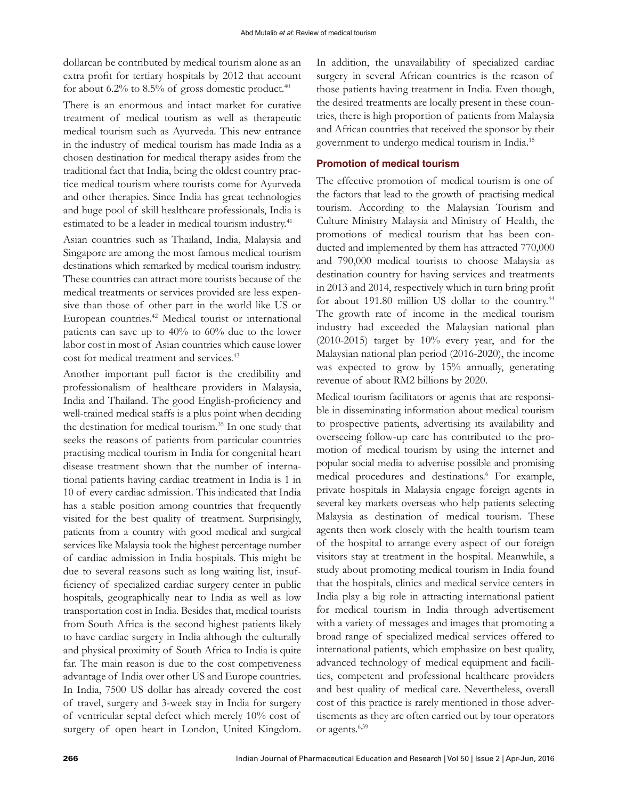dollarcan be contributed by medical tourism alone as an extra profit for tertiary hospitals by 2012 that account for about 6.2% to 8.5% of gross domestic product.<sup>40</sup>

There is an enormous and intact market for curative treatment of medical tourism as well as therapeutic medical tourism such as Ayurveda. This new entrance in the industry of medical tourism has made India as a chosen destination for medical therapy asides from the traditional fact that India, being the oldest country practice medical tourism where tourists come for Ayurveda and other therapies. Since India has great technologies and huge pool of skill healthcare professionals, India is estimated to be a leader in medical tourism industry.<sup>41</sup>

Asian countries such as Thailand, India, Malaysia and Singapore are among the most famous medical tourism destinations which remarked by medical tourism industry. These countries can attract more tourists because of the medical treatments or services provided are less expensive than those of other part in the world like US or European countries.42 Medical tourist or international patients can save up to 40% to 60% due to the lower labor cost in most of Asian countries which cause lower cost for medical treatment and services.<sup>43</sup>

Another important pull factor is the credibility and professionalism of healthcare providers in Malaysia, India and Thailand. The good English-proficiency and well-trained medical staffs is a plus point when deciding the destination for medical tourism.35 In one study that seeks the reasons of patients from particular countries practising medical tourism in India for congenital heart disease treatment shown that the number of international patients having cardiac treatment in India is 1 in 10 of every cardiac admission. This indicated that India has a stable position among countries that frequently visited for the best quality of treatment. Surprisingly, patients from a country with good medical and surgical services like Malaysia took the highest percentage number of cardiac admission in India hospitals. This might be due to several reasons such as long waiting list, insufficiency of specialized cardiac surgery center in public hospitals, geographically near to India as well as low transportation cost in India. Besides that, medical tourists from South Africa is the second highest patients likely to have cardiac surgery in India although the culturally and physical proximity of South Africa to India is quite far. The main reason is due to the cost competiveness advantage of India over other US and Europe countries. In India, 7500 US dollar has already covered the cost of travel, surgery and 3-week stay in India for surgery of ventricular septal defect which merely 10% cost of surgery of open heart in London, United Kingdom.

In addition, the unavailability of specialized cardiac surgery in several African countries is the reason of those patients having treatment in India. Even though, the desired treatments are locally present in these countries, there is high proportion of patients from Malaysia and African countries that received the sponsor by their government to undergo medical tourism in India.15

### **Promotion of medical tourism**

The effective promotion of medical tourism is one of the factors that lead to the growth of practising medical tourism. According to the Malaysian Tourism and Culture Ministry Malaysia and Ministry of Health, the promotions of medical tourism that has been conducted and implemented by them has attracted 770,000 and 790,000 medical tourists to choose Malaysia as destination country for having services and treatments in 2013 and 2014, respectively which in turn bring profit for about 191.80 million US dollar to the country.<sup>44</sup> The growth rate of income in the medical tourism industry had exceeded the Malaysian national plan  $(2010-2015)$  target by  $10\%$  every year, and for the Malaysian national plan period (2016-2020), the income was expected to grow by 15% annually, generating revenue of about RM2 billions by 2020.

Medical tourism facilitators or agents that are responsible in disseminating information about medical tourism to prospective patients, advertising its availability and overseeing follow-up care has contributed to the promotion of medical tourism by using the internet and popular social media to advertise possible and promising medical procedures and destinations.<sup>6</sup> For example, private hospitals in Malaysia engage foreign agents in several key markets overseas who help patients selecting Malaysia as destination of medical tourism. These agents then work closely with the health tourism team of the hospital to arrange every aspect of our foreign visitors stay at treatment in the hospital. Meanwhile, a study about promoting medical tourism in India found that the hospitals, clinics and medical service centers in India play a big role in attracting international patient for medical tourism in India through advertisement with a variety of messages and images that promoting a broad range of specialized medical services offered to international patients, which emphasize on best quality, advanced technology of medical equipment and facilities, competent and professional healthcare providers and best quality of medical care. Nevertheless, overall cost of this practice is rarely mentioned in those advertisements as they are often carried out by tour operators or agents.<sup>6,39</sup>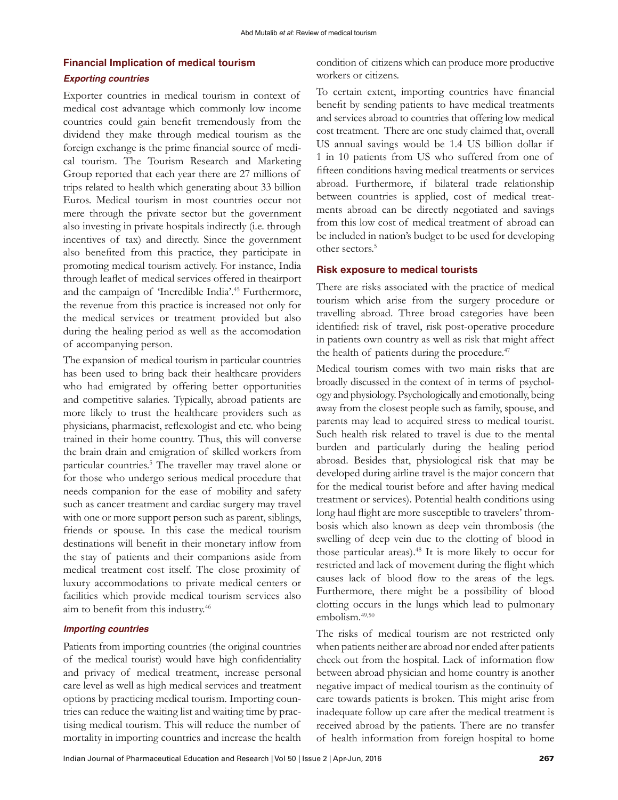# **Financial Implication of medical tourism** *Exporting countries*

Exporter countries in medical tourism in context of medical cost advantage which commonly low income countries could gain benefit tremendously from the dividend they make through medical tourism as the foreign exchange is the prime financial source of medical tourism. The Tourism Research and Marketing Group reported that each year there are 27 millions of trips related to health which generating about 33 billion Euros. Medical tourism in most countries occur not mere through the private sector but the government also investing in private hospitals indirectly (i.e. through incentives of tax) and directly. Since the government also benefited from this practice, they participate in promoting medical tourism actively. For instance, India through leaflet of medical services offered in theairport and the campaign of 'Incredible India'.45 Furthermore, the revenue from this practice is increased not only for the medical services or treatment provided but also during the healing period as well as the accomodation of accompanying person.

The expansion of medical tourism in particular countries has been used to bring back their healthcare providers who had emigrated by offering better opportunities and competitive salaries. Typically, abroad patients are more likely to trust the healthcare providers such as physicians, pharmacist, reflexologist and etc. who being trained in their home country. Thus, this will converse the brain drain and emigration of skilled workers from particular countries.<sup>5</sup> The traveller may travel alone or for those who undergo serious medical procedure that needs companion for the ease of mobility and safety such as cancer treatment and cardiac surgery may travel with one or more support person such as parent, siblings, friends or spouse. In this case the medical tourism destinations will benefit in their monetary inflow from the stay of patients and their companions aside from medical treatment cost itself. The close proximity of luxury accommodations to private medical centers or facilities which provide medical tourism services also aim to benefit from this industry.<sup>46</sup>

#### *Importing countries*

Patients from importing countries (the original countries of the medical tourist) would have high confidentiality and privacy of medical treatment, increase personal care level as well as high medical services and treatment options by practicing medical tourism. Importing countries can reduce the waiting list and waiting time by practising medical tourism. This will reduce the number of mortality in importing countries and increase the health condition of citizens which can produce more productive workers or citizens.

To certain extent, importing countries have financial benefit by sending patients to have medical treatments and services abroad to countries that offering low medical cost treatment. There are one study claimed that, overall US annual savings would be 1.4 US billion dollar if 1 in 10 patients from US who suffered from one of fifteen conditions having medical treatments or services abroad. Furthermore, if bilateral trade relationship between countries is applied, cost of medical treatments abroad can be directly negotiated and savings from this low cost of medical treatment of abroad can be included in nation's budget to be used for developing other sectors.<sup>5</sup>

#### **Risk exposure to medical tourists**

There are risks associated with the practice of medical tourism which arise from the surgery procedure or travelling abroad. Three broad categories have been identified: risk of travel, risk post-operative procedure in patients own country as well as risk that might affect the health of patients during the procedure. $47$ 

Medical tourism comes with two main risks that are broadly discussed in the context of in terms of psychology and physiology. Psychologically and emotionally, being away from the closest people such as family, spouse, and parents may lead to acquired stress to medical tourist. Such health risk related to travel is due to the mental burden and particularly during the healing period abroad. Besides that, physiological risk that may be developed during airline travel is the major concern that for the medical tourist before and after having medical treatment or services). Potential health conditions using long haul flight are more susceptible to travelers' thrombosis which also known as deep vein thrombosis (the swelling of deep vein due to the clotting of blood in those particular areas).<sup>48</sup> It is more likely to occur for restricted and lack of movement during the flight which causes lack of blood flow to the areas of the legs. Furthermore, there might be a possibility of blood clotting occurs in the lungs which lead to pulmonary embolism.49,50

The risks of medical tourism are not restricted only when patients neither are abroad nor ended after patients check out from the hospital. Lack of information flow between abroad physician and home country is another negative impact of medical tourism as the continuity of care towards patients is broken. This might arise from inadequate follow up care after the medical treatment is received abroad by the patients. There are no transfer of health information from foreign hospital to home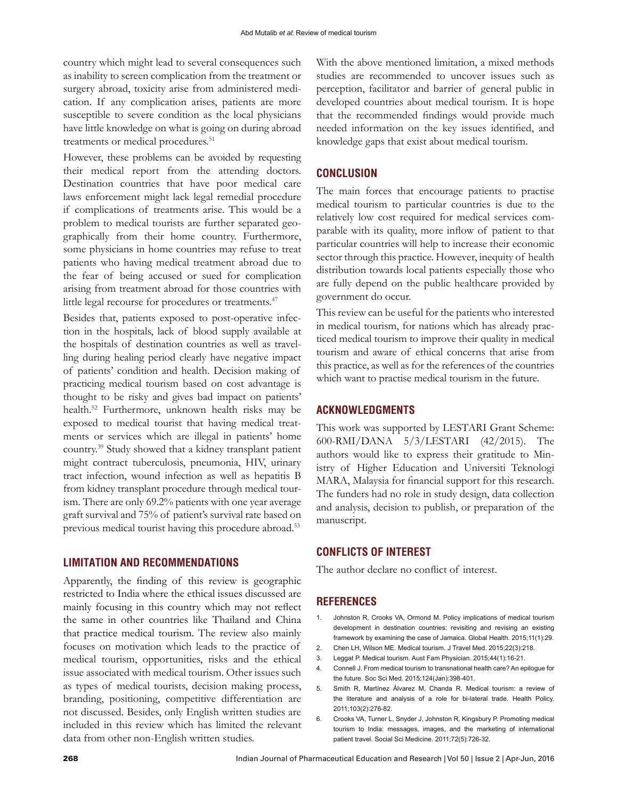country which might lead to several consequences such as inability to screen complication from the treatment or surgery abroad, toxicity arise from administered medication. If any complication arises, patients are more susceptible to severe condition as the local physicians have little knowledge on what is going on during abroad treatments or medical procedures.<sup>51</sup>

However, these problems can be avoided by requesting their medical report from the attending doctors. Destination countries that have poor medical care laws enforcement might lack legal remedial procedure if complications of treatments arise. This would be a problem to medical tourists are further separated geographically from their home country. Furthermore, some physicians in home countries may refuse to treat patients who having medical treatment abroad due to the fear of being accused or sued for complication arising from treatment abroad for those countries with little legal recourse for procedures or treatments.<sup>47</sup>

Besides that, patients exposed to post-operative infection in the hospitals, lack of blood supply available at the hospitals of destination countries as well as travelling during healing period clearly have negative impact of patients' condition and health. Decision making of practicing medical tourism based on cost advantage is thought to be risky and gives bad impact on patients' health.52 Furthermore, unknown health risks may be exposed to medical tourist that having medical treatments or services which are illegal in patients' home country.39 Study showed that a kidney transplant patient might contract tuberculosis, pneumonia, HIV, urinary tract infection, wound infection as well as hepatitis B from kidney transplant procedure through medical tourism. There are only 69.2% patients with one year average graft survival and 75% of patient's survival rate based on previous medical tourist having this procedure abroad.<sup>53</sup>

# **LIMITATION AND RECOMMENDATIONS**

Apparently, the finding of this review is geographic restricted to India where the ethical issues discussed are mainly focusing in this country which may not reflect the same in other countries like Thailand and China that practice medical tourism. The review also mainly focuses on motivation which leads to the practice of medical tourism, opportunities, risks and the ethical issue associated with medical tourism. Other issues such as types of medical tourists, decision making process, branding, positioning, competitive differentiation are not discussed. Besides, only English written studies are included in this review which has limited the relevant data from other non-English written studies.

With the above mentioned limitation, a mixed methods studies are recommended to uncover issues such as perception, facilitator and barrier of general public in developed countries about medical tourism. It is hope that the recommended findings would provide much needed information on the key issues identified, and knowledge gaps that exist about medical tourism.

# **CONCLUSION**

The main forces that encourage patients to practise medical tourism to particular countries is due to the relatively low cost required for medical services comparable with its quality, more inflow of patient to that particular countries will help to increase their economic sector through this practice. However, inequity of health distribution towards local patients especially those who are fully depend on the public healthcare provided by government do occur.

This review can be useful for the patients who interested in medical tourism, for nations which has already practiced medical tourism to improve their quality in medical tourism and aware of ethical concerns that arise from this practice, as well as for the references of the countries which want to practise medical tourism in the future.

#### **ACKNOWLEDGMENTS**

This work was supported by LESTARI Grant Scheme: 600-RMI/DANA 5/3/LESTARI (42/2015). The authors would like to express their gratitude to Ministry of Higher Education and Universiti Teknologi MARA, Malaysia for financial support for this research. The funders had no role in study design, data collection and analysis, decision to publish, or preparation of the manuscript.

# **CONFLICTS OF INTEREST**

The author declare no conflict of interest.

# **REFERENCES**

- 1. Johnston R, Crooks VA, Ormond M. Policy implications of medical tourism development in destination countries: revisiting and revising an existing framework by examining the case of Jamaica. Global Health. 2015;11(1):29.
- 2. Chen LH, Wilson ME. Medical tourism. J Travel Med. 2015;22(3):218.
- 3. Leggat P. Medical tourism. Aust Fam Physician. 2015;44(1):16-21.
- 4. Connell J. From medical tourism to transnational health care? An epilogue for the future. Soc Sci Med. 2015;124(Jan):398-401.
- 5. Smith R, Martínez Álvarez M, Chanda R. Medical tourism: a review of the literature and analysis of a role for bi-lateral trade. Health Policy. 2011;103(2):276-82.
- 6. Crooks VA, Turner L, Snyder J, Johnston R, Kingsbury P. Promoting medical tourism to India: messages, images, and the marketing of international patient travel. Social Sci Medicine. 2011;72(5):726-32.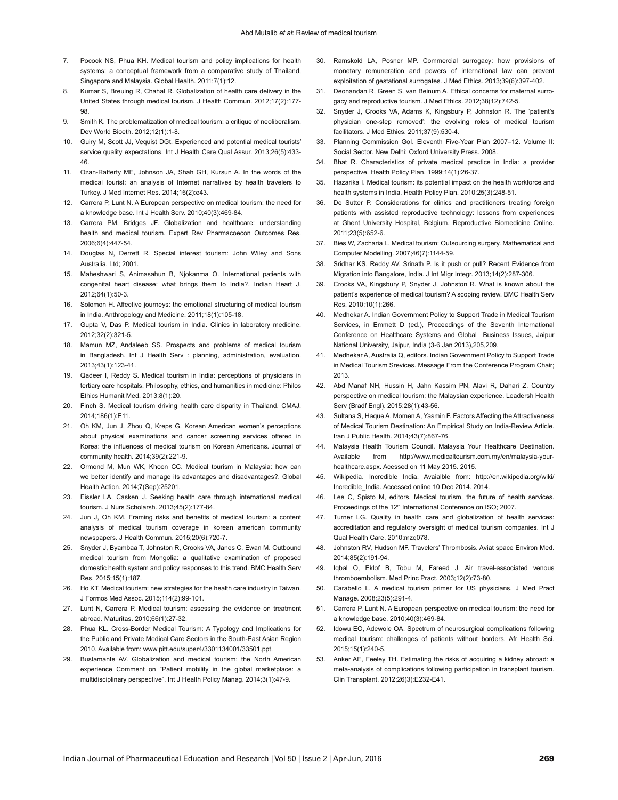- 7. Pocock NS, Phua KH. Medical tourism and policy implications for health systems: a conceptual framework from a comparative study of Thailand, Singapore and Malaysia. Global Health. 2011;7(1):12.
- 8. Kumar S, Breuing R, Chahal R. Globalization of health care delivery in the United States through medical tourism. J Health Commun. 2012;17(2):177- 98.
- 9. Smith K. The problematization of medical tourism: a critique of neoliberalism. Dev World Bioeth. 2012;12(1):1-8.
- 10. Guiry M, Scott JJ, Vequist DGt. Experienced and potential medical tourists' service quality expectations. Int J Health Care Qual Assur. 2013;26(5):433- 46.
- 11. Ozan-Rafferty ME, Johnson JA, Shah GH, Kursun A. In the words of the medical tourist: an analysis of Internet narratives by health travelers to Turkey. J Med Internet Res. 2014;16(2):e43.
- 12. Carrera P, Lunt N. A European perspective on medical tourism: the need for a knowledge base. Int J Health Serv. 2010;40(3):469-84.
- 13. Carrera PM, Bridges JF. Globalization and healthcare: understanding health and medical tourism. Expert Rev Pharmacoecon Outcomes Res. 2006;6(4):447-54.
- 14. Douglas N, Derrett R. Special interest tourism: John Wiley and Sons Australia, Ltd; 2001.
- 15. Maheshwari S, Animasahun B, Njokanma O. International patients with congenital heart disease: what brings them to India?. Indian Heart J. 2012;64(1):50-3.
- 16. Solomon H. Affective journeys: the emotional structuring of medical tourism in India. Anthropology and Medicine. 2011;18(1):105-18.
- 17. Gupta V, Das P. Medical tourism in India. Clinics in laboratory medicine. 2012;32(2):321-5.
- 18. Mamun MZ, Andaleeb SS. Prospects and problems of medical tourism in Bangladesh. Int J Health Serv : planning, administration, evaluation. 2013;43(1):123-41.
- 19. Qadeer I, Reddy S. Medical tourism in India: perceptions of physicians in tertiary care hospitals. Philosophy, ethics, and humanities in medicine: Philos Ethics Humanit Med. 2013;8(1):20.
- 20. Finch S. Medical tourism driving health care disparity in Thailand. CMAJ. 2014;186(1):E11.
- 21. Oh KM, Jun J, Zhou Q, Kreps G. Korean American women's perceptions about physical examinations and cancer screening services offered in Korea: the influences of medical tourism on Korean Americans. Journal of community health. 2014;39(2):221-9.
- 22. Ormond M, Mun WK, Khoon CC. Medical tourism in Malaysia: how can we better identify and manage its advantages and disadvantages?. Global Health Action. 2014;7(Sep):25201.
- 23. Eissler LA, Casken J. Seeking health care through international medical tourism. J Nurs Scholarsh. 2013;45(2):177-84.
- 24. Jun J, Oh KM. Framing risks and benefits of medical tourism: a content analysis of medical tourism coverage in korean american community newspapers. J Health Commun. 2015;20(6):720-7.
- 25. Snyder J, Byambaa T, Johnston R, Crooks VA, Janes C, Ewan M. Outbound medical tourism from Mongolia: a qualitative examination of proposed domestic health system and policy responses to this trend. BMC Health Serv Res. 2015;15(1):187.
- 26. Ho KT. Medical tourism: new strategies for the health care industry in Taiwan. J Formos Med Assoc. 2015;114(2):99-101.
- 27. Lunt N, Carrera P. Medical tourism: assessing the evidence on treatment abroad. Maturitas. 2010;66(1):27-32.
- 28. Phua KL. Cross-Border Medical Tourism: A Typology and Implications for the Public and Private Medical Care Sectors in the South-East Asian Region 2010. Available from: www.pitt.edu/super4/3301134001/33501.ppt.
- 29. Bustamante AV. Globalization and medical tourism: the North American experience Comment on "Patient mobility in the global marketplace: a multidisciplinary perspective". Int J Health Policy Manag. 2014;3(1):47-9.
- 30. Ramskold LA, Posner MP. Commercial surrogacy: how provisions of monetary remuneration and powers of international law can prevent exploitation of gestational surrogates. J Med Ethics. 2013;39(6):397-402.
- 31. Deonandan R, Green S, van Beinum A. Ethical concerns for maternal surrogacy and reproductive tourism. J Med Ethics. 2012;38(12):742-5.
- 32. Snyder J, Crooks VA, Adams K, Kingsbury P, Johnston R. The 'patient's physician one-step removed': the evolving roles of medical tourism facilitators. J Med Ethics. 2011;37(9):530-4.
- 33. Planning Commission GoI. Eleventh Five-Year Plan 2007–12. Volume II: Social Sector. New Delhi: Oxford University Press. 2008.
- 34. Bhat R. Characteristics of private medical practice in India: a provider perspective. Health Policy Plan. 1999;14(1):26-37.
- 35. Hazarika I. Medical tourism: its potential impact on the health workforce and health systems in India. Health Policy Plan. 2010;25(3):248-51.
- 36. De Sutter P. Considerations for clinics and practitioners treating foreign patients with assisted reproductive technology: lessons from experiences at Ghent University Hospital, Belgium. Reproductive Biomedicine Online. 2011;23(5):652-6.
- 37. Bies W, Zacharia L. Medical tourism: Outsourcing surgery. Mathematical and Computer Modelling. 2007;46(7):1144-59.
- 38. Sridhar KS, Reddy AV, Srinath P. Is it push or pull? Recent Evidence from Migration into Bangalore, India. J Int Migr Integr. 2013;14(2):287-306.
- 39. Crooks VA, Kingsbury P, Snyder J, Johnston R. What is known about the patient's experience of medical tourism? A scoping review. BMC Health Serv Res. 2010;10(1):266.
- 40. Medhekar A. Indian Government Policy to Support Trade in Medical Tourism Services, in Emmett D (ed.), Proceedings of the Seventh International Conference on Healthcare Systems and Global Business Issues, Jaipur National University, Jaipur, India (3-6 Jan 2013),205,209.
- 41. Medhekar A, Australia Q, editors. Indian Government Policy to Support Trade in Medical Tourism Srevices. Message From the Conference Program Chair; 2013.
- 42. Abd Manaf NH, Hussin H, Jahn Kassim PN, Alavi R, Dahari Z. Country perspective on medical tourism: the Malaysian experience. Leadersh Health Serv (Bradf Engl). 2015;28(1):43-56.
- 43. Sultana S, Haque A, Momen A, Yasmin F. Factors Affecting the Attractiveness of Medical Tourism Destination: An Empirical Study on India-Review Article. Iran J Public Health. 2014;43(7):867-76.
- 44. Malaysia Health Tourism Council. Malaysia Your Healthcare Destination. Available from http://www.medicaltourism.com.my/en/malaysia-yourhealthcare.aspx. Acessed on 11 May 2015. 2015.
- 45. Wikipedia. Incredible India. Avaialble from: http://en.wikipedia.org/wiki/ Incredible\_India. Accessed online 10 Dec 2014. 2014.
- 46. Lee C, Spisto M, editors. Medical tourism, the future of health services. Proceedings of the 12<sup>th</sup> International Conference on ISO; 2007.
- 47. Turner LG. Quality in health care and globalization of health services: accreditation and regulatory oversight of medical tourism companies. Int J Qual Health Care. 2010:mzq078.
- 48. Johnston RV, Hudson MF. Travelers' Thrombosis. Aviat space Environ Med. 2014;85(2):191-94.
- 49. Iqbal O, Eklof B, Tobu M, Fareed J. Air travel-associated venous thromboembolism. Med Princ Pract. 2003;12(2):73-80.
- 50. Carabello L. A medical tourism primer for US physicians. J Med Pract Manage. 2008;23(5):291-4.
- 51. Carrera P, Lunt N. A European perspective on medical tourism: the need for a knowledge base. 2010;40(3):469-84.
- 52. Idowu EO, Adewole OA. Spectrum of neurosurgical complications following medical tourism: challenges of patients without borders. Afr Health Sci. 2015;15(1):240-5.
- 53. Anker AE, Feeley TH. Estimating the risks of acquiring a kidney abroad: a meta-analysis of complications following participation in transplant tourism. Clin Transplant. 2012;26(3):E232-E41.